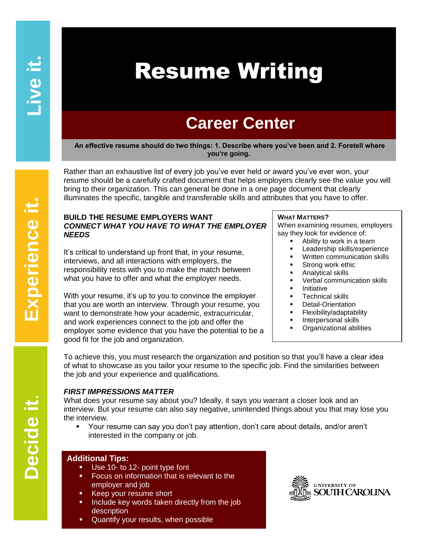# Resume Writing

# **Career Center**

**An effective resume should do two things: 1. Describe where you've been and 2. Foretell where you're going.**

Rather than an exhaustive list of every job you've ever held or award you've ever won, your resume should be a carefully crafted document that helps employers clearly see the value you will bring to their organization. This can general be done in a one page document that clearly illuminates the specific, tangible and transferable skills and attributes that you have to offer.

# **BUILD THE RESUME EMPLOYERS WANT**  *CONNECT WHAT YOU HAVE TO WHAT THE EMPLOYER NEEDS*

It's critical to understand up front that, in your resume, interviews, and all interactions with employers, the responsibility rests with you to make the match between what you have to offer and what the employer needs.

With your resume, it's up to you to convince the employer that you are worth an interview. Through your resume, you want to demonstrate how your academic, extracurricular, and work experiences connect to the job and offer the employer some evidence that you have the potential to be a good fit for the job and organization.

# **WHAT MATTERS?**

When examining resumes, employers say they look for evidence of:

- Ability to work in a team
- Leadership skills/experience
	- Written communication skills
	- Strong work ethic
- Analytical skills
- Verbal communication skills
- Initiative
- Technical skills
- Detail-Orientation
- Flexibility/adaptability
- Interpersonal skills
- **•** Organizational abilities

To achieve this, you must research the organization and position so that you'll have a clear idea of what to showcase as you tailor your resume to the specific job. Find the similarities between the job and your experience and qualifications.

# *FIRST IMPRESSIONS MATTER*

What does your resume say about you? Ideally, it says you warrant a closer look and an interview. But your resume can also say negative, unintended things about you that may lose you the interview.

 Your resume can say you don't pay attention, don't care about details, and/or aren't interested in the company or job.

# **Additional Tips:**

- Use 10- to 12- point type font
- Focus on information that is relevant to the employer and job
- Keep your resume short
- Include key words taken directly from the job description
- Quantify your results, when possible



**Experience it. Live it.** Experience it.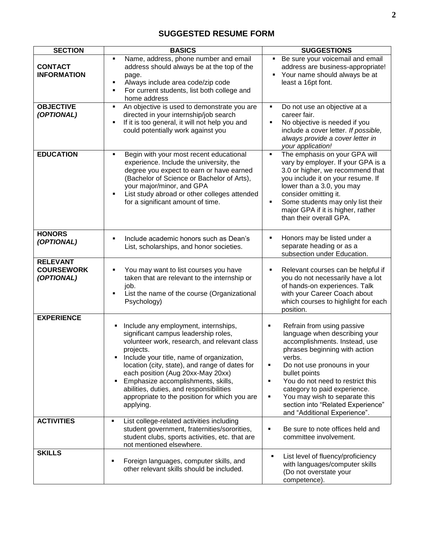# **SUGGESTED RESUME FORM**

| <b>SECTION</b>                                     | <b>BASICS</b>                                                                                                                                                                                                                                                                                                                                                                                                                                            | <b>SUGGESTIONS</b>                                                                                                                                                                                                                                                                                                                                                                    |
|----------------------------------------------------|----------------------------------------------------------------------------------------------------------------------------------------------------------------------------------------------------------------------------------------------------------------------------------------------------------------------------------------------------------------------------------------------------------------------------------------------------------|---------------------------------------------------------------------------------------------------------------------------------------------------------------------------------------------------------------------------------------------------------------------------------------------------------------------------------------------------------------------------------------|
| <b>CONTACT</b><br><b>INFORMATION</b>               | Name, address, phone number and email<br>address should always be at the top of the<br>page.<br>Always include area code/zip code<br>For current students, list both college and<br>٠<br>home address                                                                                                                                                                                                                                                    | Be sure your voicemail and email<br>٠<br>address are business-appropriate!<br>Your name should always be at<br>٠<br>least a 16pt font.                                                                                                                                                                                                                                                |
| <b>OBJECTIVE</b><br>(OPTIONAL)                     | An objective is used to demonstrate you are<br>٠<br>directed in your internship/job search<br>If it is too general, it will not help you and<br>could potentially work against you                                                                                                                                                                                                                                                                       | Do not use an objective at a<br>٠<br>career fair.<br>No objective is needed if you<br>include a cover letter. If possible,<br>always provide a cover letter in<br>your application!                                                                                                                                                                                                   |
| <b>EDUCATION</b>                                   | Begin with your most recent educational<br>٠<br>experience. Include the university, the<br>degree you expect to earn or have earned<br>(Bachelor of Science or Bachelor of Arts),<br>your major/minor, and GPA<br>List study abroad or other colleges attended<br>for a significant amount of time.                                                                                                                                                      | The emphasis on your GPA will<br>$\blacksquare$<br>vary by employer. If your GPA is a<br>3.0 or higher, we recommend that<br>you include it on your resume. If<br>lower than a 3.0, you may<br>consider omitting it.<br>Some students may only list their<br>п<br>major GPA if it is higher, rather<br>than their overall GPA.                                                        |
| <b>HONORS</b><br>(OPTIONAL)                        | Include academic honors such as Dean's<br>٠<br>List, scholarships, and honor societies.                                                                                                                                                                                                                                                                                                                                                                  | Honors may be listed under a<br>separate heading or as a<br>subsection under Education.                                                                                                                                                                                                                                                                                               |
| <b>RELEVANT</b><br><b>COURSEWORK</b><br>(OPTIONAL) | You may want to list courses you have<br>taken that are relevant to the internship or<br>job.<br>List the name of the course (Organizational<br>Psychology)                                                                                                                                                                                                                                                                                              | Relevant courses can be helpful if<br>٠<br>you do not necessarily have a lot<br>of hands-on experiences. Talk<br>with your Career Coach about<br>which courses to highlight for each<br>position.                                                                                                                                                                                     |
| <b>EXPERIENCE</b>                                  | Include any employment, internships,<br>٠<br>significant campus leadership roles,<br>volunteer work, research, and relevant class<br>projects.<br>Include your title, name of organization,<br>$\blacksquare$<br>location (city, state), and range of dates for<br>each position (Aug 20xx-May 20xx)<br>Emphasize accomplishments, skills,<br>٠<br>abilities, duties, and responsibilities<br>appropriate to the position for which you are<br>applying. | Refrain from using passive<br>٠<br>language when describing your<br>accomplishments. Instead, use<br>phrases beginning with action<br>verbs.<br>Do not use pronouns in your<br>٠<br>bullet points<br>You do not need to restrict this<br>٠<br>category to paid experience.<br>You may wish to separate this<br>٠<br>section into "Related Experience"<br>and "Additional Experience". |
| <b>ACTIVITIES</b>                                  | List college-related activities including<br>student government, fraternities/sororities,<br>student clubs, sports activities, etc. that are<br>not mentioned elsewhere.                                                                                                                                                                                                                                                                                 | Be sure to note offices held and<br>٠<br>committee involvement.                                                                                                                                                                                                                                                                                                                       |
| <b>SKILLS</b>                                      | Foreign languages, computer skills, and<br>Ξ<br>other relevant skills should be included.                                                                                                                                                                                                                                                                                                                                                                | List level of fluency/proficiency<br>٠<br>with languages/computer skills<br>(Do not overstate your<br>competence).                                                                                                                                                                                                                                                                    |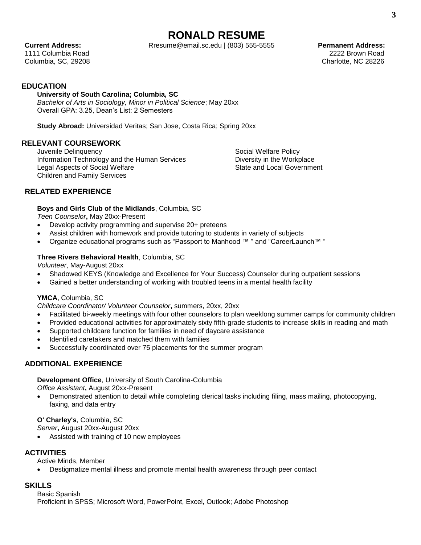# **RONALD RESUME**

**Current Address:** Rresume@email.sc.edu | (803) 555-5555 **Permanent Address: Permanent Address:** 

1111 Columbia Road 2222 Brown Road Columbia, SC, 29208 Charlotte, NC 28226

**EDUCATION**

# **University of South Carolina; Columbia, SC**

*Bachelor of Arts in Sociology, Minor in Political Science*; May 20xx Overall GPA: 3.25, Dean's List: 2 Semesters

**Study Abroad:** Universidad Veritas; San Jose, Costa Rica; Spring 20xx

# **RELEVANT COURSEWORK**

Juvenile Delinquency Information Technology and the Human Services Legal Aspects of Social Welfare Children and Family Services

Social Welfare Policy Diversity in the Workplace State and Local Government

# **RELATED EXPERIENCE**

**Boys and Girls Club of the Midlands**, Columbia, SC

*Teen Counselor***,** May 20xx-Present

- Develop activity programming and supervise 20+ preteens
- Assist children with homework and provide tutoring to students in variety of subjects
- Organize educational programs such as "Passport to Manhood ™ " and "CareerLaunch™ "

# **Three Rivers Behavioral Health**, Columbia, SC

*Volunteer*, May-August 20xx

- Shadowed KEYS (Knowledge and Excellence for Your Success) Counselor during outpatient sessions
- Gained a better understanding of working with troubled teens in a mental health facility

# **YMCA**, Columbia, SC

*Childcare Coordinator/ Volunteer Counselor***,** summers, 20xx, 20xx

- Facilitated bi-weekly meetings with four other counselors to plan weeklong summer camps for community children
- Provided educational activities for approximately sixty fifth-grade students to increase skills in reading and math
- Supported childcare function for families in need of daycare assistance
- Identified caretakers and matched them with families
- Successfully coordinated over 75 placements for the summer program

# **ADDITIONAL EXPERIENCE**

**Development Office**, University of South Carolina-Columbia

*Office Assistant***,** August 20xx-Present

 Demonstrated attention to detail while completing clerical tasks including filing, mass mailing, photocopying, faxing, and data entry

**O' Charley's**, Columbia, SC

*Server***,** August 20xx-August 20xx

Assisted with training of 10 new employees

# **ACTIVITIES**

Active Minds, Member

Destigmatize mental illness and promote mental health awareness through peer contact

# **SKILLS**

Basic Spanish Proficient in SPSS; Microsoft Word, PowerPoint, Excel, Outlook; Adobe Photoshop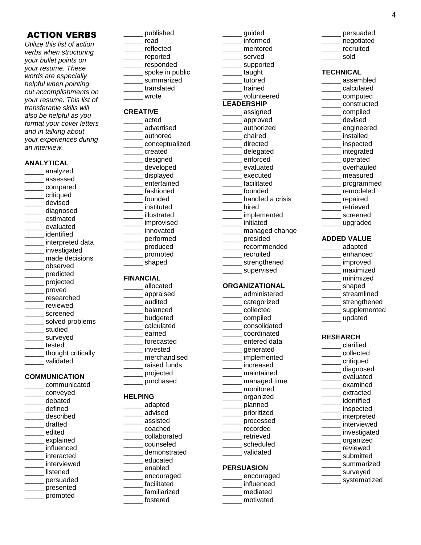# ACTION VERBS

*Utilize this list of action verbs when structuring your bullet points on your resume. These words are especially helpful when pointing out accomplishments on your resume. This list of transferable skills will also be helpful as you format your cover letters and in talking about your experiences during an interview.* 

#### **ANALYTICAL**

\_\_\_\_\_ analyzed \_\_\_\_\_ assessed \_\_\_\_\_ compared \_\_\_\_\_ critiqued \_\_\_\_\_ devised \_\_\_\_\_ diagnosed \_\_\_\_\_ estimated \_\_\_\_\_ evaluated \_\_\_\_\_ identified \_\_\_\_\_ interpreted data \_\_\_\_\_ investigated \_\_\_\_\_ made decisions \_\_\_\_\_ observed \_\_\_\_\_ predicted \_\_\_\_\_ projected \_\_\_\_\_ proved \_\_\_\_\_ researched \_\_\_\_\_ reviewed \_\_\_\_\_ screened solved problems \_\_\_\_\_ studied surveyed \_\_\_\_\_ tested thought critically \_\_\_\_\_ validated **COMMUNICATION** \_\_\_\_\_ communicated \_\_\_\_\_ conveyed

\_\_\_\_\_ debated \_\_\_\_\_ defined \_\_\_\_\_ described \_\_\_\_\_ drafted \_\_\_\_\_ edited explained \_\_\_\_\_ influenced interacted interviewed listened \_\_\_\_\_ persuaded \_\_\_\_\_ presented \_\_\_\_\_ promoted

- \_\_\_\_\_ published \_\_\_\_\_ read \_\_\_\_\_ reflected \_\_\_\_\_ reported \_\_\_\_\_ responded \_\_\_\_ spoke in public \_\_\_\_\_ summarized \_\_\_\_\_ translated \_\_\_\_\_ wrote **CREATIVE** \_\_\_\_\_ acted \_\_\_\_\_ advertised \_\_\_\_\_ authored \_\_\_\_\_ conceptualized
- \_\_\_\_\_ created \_\_\_\_\_ designed \_\_\_\_\_ developed \_\_\_\_\_ displayed \_\_\_\_\_ entertained \_\_\_\_\_ fashioned founded instituted \_\_\_\_\_ illustrated improvised innovated \_\_\_\_\_ performed \_\_\_\_\_ produced \_\_\_\_\_ promoted \_\_\_\_\_ shaped

#### **FINANCIAL**

- \_\_\_\_\_ allocated \_\_\_\_\_ appraised \_\_\_\_\_ audited \_\_\_\_\_ balanced \_\_\_\_\_ budgeted \_\_\_\_\_ calculated earned \_\_\_\_\_ forecasted \_\_\_\_\_ invested \_\_\_\_\_ merchandised \_\_\_\_\_ raised funds
- \_\_\_\_\_ projected \_\_\_\_\_ purchased

### **HELPING**

- \_\_\_\_\_ adapted \_\_\_\_\_ advised \_\_\_\_\_ assisted \_\_\_\_\_ coached \_\_\_\_\_ collaborated \_\_\_\_\_ counseled \_\_\_\_\_ demonstrated \_\_\_\_\_ educated \_\_\_\_\_ enabled \_\_\_\_\_ encouraged \_\_\_\_\_ facilitated \_\_\_\_\_ familiarized \_\_\_\_\_ fostered
- \_\_\_\_\_ guided \_\_\_\_\_ informed \_\_\_\_\_ mentored \_\_\_\_\_ served \_\_\_\_\_ supported \_\_\_\_\_ taught \_\_\_\_\_ tutored \_\_\_\_\_ trained \_\_\_\_\_ volunteered **LEADERSHIP** \_\_\_\_\_ assigned \_\_\_\_\_ approved \_\_\_\_\_ authorized \_\_\_\_\_ chaired \_\_\_\_\_ directed \_\_\_\_\_ delegated \_\_\_\_\_ enforced \_\_\_\_\_ evaluated \_\_\_\_\_ executed \_\_\_\_\_ facilitated founded handled a crisis  $\overline{\phantom{a}}$  hired \_\_\_\_\_ implemented \_\_\_\_\_ initiated \_\_\_\_\_ managed change \_\_\_\_\_ presided \_\_\_\_\_ recommended \_\_\_\_\_ recruited \_\_\_\_\_ strengthened supervised **ORGANIZATIONAL** \_\_\_\_\_ administered \_\_\_\_\_ categorized \_\_\_\_\_ collected \_\_\_\_\_ compiled \_\_\_\_\_ consolidated \_\_\_\_\_ coordinated \_\_\_\_\_ entered data \_\_\_\_\_ generated \_\_\_\_\_ implemented \_\_\_\_\_ increased \_\_\_\_\_ maintained \_\_\_\_\_ managed time \_\_\_\_\_ monitored \_\_\_\_\_ organized \_\_\_\_\_ planned \_\_\_\_\_ prioritized \_\_\_\_\_ processed \_\_\_\_\_ recorded \_\_\_\_\_ retrieved \_\_\_\_\_ scheduled \_\_\_\_\_ validated **PERSUASION**

\_\_\_\_\_ encouraged \_\_\_\_\_ influenced \_\_\_\_\_ mediated \_\_\_\_\_ motivated

| persuaded  |
|------------|
| negotiated |
| recruited  |
| sold       |

#### **TECHNICAL**

\_\_\_\_\_ assembled \_\_\_\_\_ calculated \_\_\_\_\_ computed \_\_\_\_\_ constructed \_\_\_\_\_ compiled \_\_\_\_\_ devised \_\_\_\_\_ engineered \_\_\_\_\_ installed \_\_\_\_\_ inspected \_\_\_\_\_ integrated \_\_\_\_\_ operated \_\_\_\_\_ overhauled \_\_\_\_\_ measured \_\_\_\_\_ programmed \_\_\_\_\_ remodeled \_\_\_\_\_ repaired \_\_\_\_\_ retrieved \_\_\_\_\_ screened \_\_\_\_\_ upgraded **ADDED VALUE**

- \_\_\_\_\_ adapted \_\_\_\_\_ enhanced
- \_\_\_\_\_ improved
- \_\_\_\_\_ maximized
- \_\_\_\_\_ minimized
- \_\_\_\_\_ shaped
- \_\_\_\_\_ streamlined
- \_\_\_\_\_\_ strengthened
- \_\_\_\_\_\_ supplemented
- \_\_\_\_\_ updated

# **RESEARCH**

\_\_\_\_\_ clarified \_\_\_\_\_ collected \_\_\_\_\_ critiqued \_\_\_\_\_ diagnosed \_\_\_\_\_ evaluated \_\_\_\_\_ examined \_\_\_\_\_ extracted \_\_\_\_\_ identified \_\_\_\_\_ inspected \_\_\_\_\_ interpreted interviewed \_\_\_\_\_ investigated \_\_\_\_\_ organized \_\_\_\_\_ reviewed \_\_\_\_\_ submitted \_\_\_\_\_ summarized \_\_\_\_\_ surveyed \_\_\_\_\_ systematized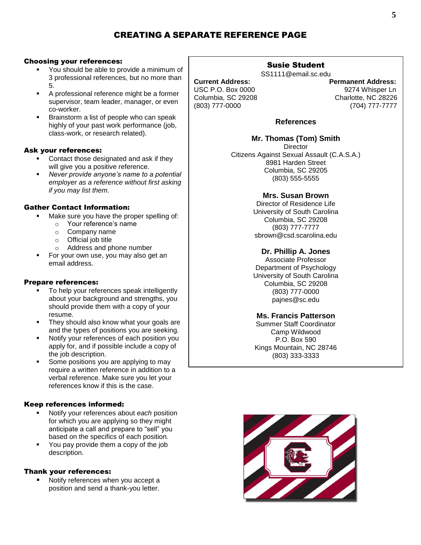# CREATING A SEPARATE REFERENCE PAGE

### Choosing your references:

- You should be able to provide a minimum of 3 professional references, but no more than 5.
- A professional reference might be a former supervisor, team leader, manager, or even co-worker.
- Brainstorm a list of people who can speak highly of your past work performance (job, class-work, or research related).

### Ask your references:

- Contact those designated and ask if they will give you a positive reference.
- *Never provide anyone's name to a potential employer as a reference without first asking if you may list them.*

# Gather Contact Information:

- **Make sure you have the proper spelling of:** 
	- o Your reference's name
	- o Company name
	- $\circ$  Official job title
	- o Address and phone number
- For your own use, you may also get an email address.

# Prepare references:

- To help your references speak intelligently about your background and strengths, you should provide them with a copy of your resume.
- **They should also know what your goals are** and the types of positions you are seeking.
- Notify your references of each position you apply for, and if possible include a copy of the job description.
- Some positions you are applying to may require a written reference in addition to a verbal reference. Make sure you let your references know if this is the case.

# Keep references informed:

- Notify your references about *each* position for which you are applying so they might anticipate a call and prepare to "sell" you based on the specifics of each position.
- **You pay provide them a copy of the job** description.

#### Thank your references:

 Notify references when you accept a position and send a thank-you letter.

# Susie Student

SS1111@email.sc.edu

USC P.O. Box 0000 9274 Whisper Ln Columbia, SC 29208 Charlotte, NC 28226 (803) 777-0000 (704) 777-7777

**Current Address: Permanent Address:**

# **References**

**Mr. Thomas (Tom) Smith Director** Citizens Against Sexual Assault (C.A.S.A.) 8981 Harden Street Columbia, SC 29205 (803) 555-5555

# **Mrs. Susan Brown**

Director of Residence Life University of South Carolina Columbia, SC 29208 (803) 777-7777 sbrown@csd.scarolina.edu

# **Dr. Phillip A. Jones**

Associate Professor Department of Psychology University of South Carolina Columbia, SC 29208 (803) 777-0000 pajnes@sc.edu

# **Ms. Francis Patterson**

Summer Staff Coordinator Camp Wildwood P.O. Box 590 Kings Mountain, NC 28746 (803) 333-3333

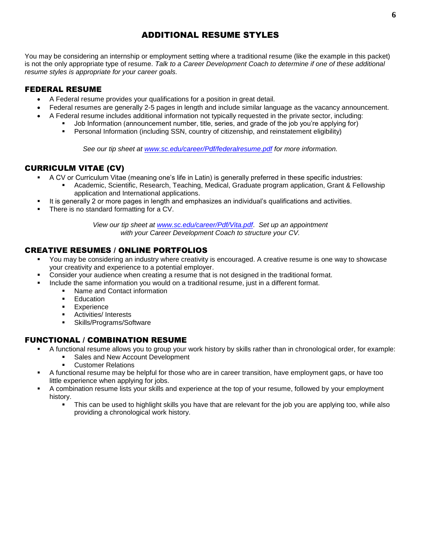# ADDITIONAL RESUME STYLES

You may be considering an internship or employment setting where a traditional resume (like the example in this packet) is not the only appropriate type of resume. *Talk to a Career Development Coach to determine if one of these additional resume styles is appropriate for your career goals.*

# FEDERAL RESUME

- A Federal resume provides your qualifications for a position in great detail.
	- Federal resumes are generally 2-5 pages in length and include similar language as the vacancy announcement.
- A Federal resume includes additional information not typically requested in the private sector, including:
	- Job Information (announcement number, title, series, and grade of the job you're applying for)
	- Personal Information (including SSN, country of citizenship, and reinstatement eligibility)

*See our tip sheet at [www.sc.edu/career/Pdf/federalresume.pdf](http://www.sc.edu/career/Pdf/federalresume.pdf) for more information.*

# CURRICULM VITAE (CV)

- A CV or Curriculum Vitae (meaning one's life in Latin) is generally preferred in these specific industries:
	- Academic, Scientific, Research, Teaching, Medical, Graduate program application, Grant & Fellowship application and International applications.
	- It is generally 2 or more pages in length and emphasizes an individual's qualifications and activities.
- There is no standard formatting for a CV.

*View our tip sheet at [www.sc.edu/career/Pdf/Vita.pdf](http://www.sc.edu/career/Pdf/Vita.pdf)*. *Set up an appointment with your Career Development Coach to structure your CV.* 

# CREATIVE RESUMES / ONLINE PORTFOLIOS

- You may be considering an industry where creativity is encouraged. A creative resume is one way to showcase your creativity and experience to a potential employer.
- Consider your audience when creating a resume that is not designed in the traditional format.
	- Include the same information you would on a traditional resume, just in a different format.
		- **Name and Contact information** 
			- **Education**
			- **Experience**
			- **Activities/Interests**
			- **Skills/Programs/Software**

# FUNCTIONAL / COMBINATION RESUME

- A functional resume allows you to group your work history by skills rather than in chronological order, for example:
	- **Sales and New Account Development**
	- Customer Relations
- A functional resume may be helpful for those who are in career transition, have employment gaps, or have too little experience when applying for jobs.
- A combination resume lists your skills and experience at the top of your resume, followed by your employment history.
	- This can be used to highlight skills you have that are relevant for the job you are applying too, while also providing a chronological work history.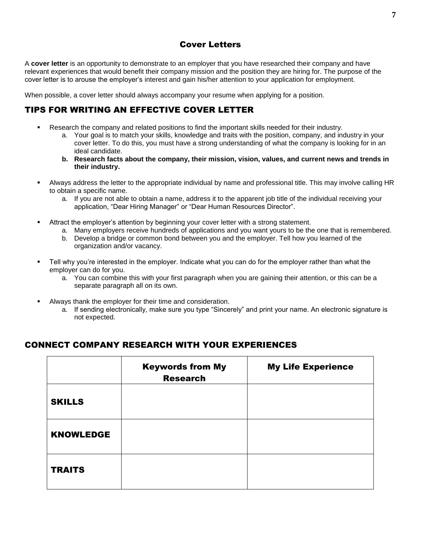# Cover Letters

A **cover letter** is an opportunity to demonstrate to an employer that you have researched their company and have relevant experiences that would benefit their company mission and the position they are hiring for. The purpose of the cover letter is to arouse the employer's interest and gain his/her attention to your application for employment.

When possible, a cover letter should always accompany your resume when applying for a position.

# TIPS FOR WRITING AN EFFECTIVE COVER LETTER

- Research the company and related positions to find the important skills needed for their industry.
	- a. Your goal is to match your skills, knowledge and traits with the position, company, and industry in your cover letter. To do this, you must have a strong understanding of what the company is looking for in an ideal candidate.
	- **b. Research facts about the company, their mission, vision, values, and current news and trends in their industry.**
- Always address the letter to the appropriate individual by name and professional title. This may involve calling HR to obtain a specific name.
	- a. If you are not able to obtain a name, address it to the apparent job title of the individual receiving your application, "Dear Hiring Manager" or "Dear Human Resources Director".
- Attract the employer's attention by beginning your cover letter with a strong statement.
	- a. Many employers receive hundreds of applications and you want yours to be the one that is remembered.
	- b. Develop a bridge or common bond between you and the employer. Tell how you learned of the organization and/or vacancy.
- Tell why you're interested in the employer. Indicate what you can do for the employer rather than what the employer can do for you.
	- a. You can combine this with your first paragraph when you are gaining their attention, or this can be a separate paragraph all on its own.
- Always thank the employer for their time and consideration.
	- a. If sending electronically, make sure you type "Sincerely" and print your name. An electronic signature is not expected.

# CONNECT COMPANY RESEARCH WITH YOUR EXPERIENCES

|                  | <b>Keywords from My</b><br><b>Research</b> | <b>My Life Experience</b> |
|------------------|--------------------------------------------|---------------------------|
| <b>SKILLS</b>    |                                            |                           |
| <b>KNOWLEDGE</b> |                                            |                           |
| <b>TRAITS</b>    |                                            |                           |